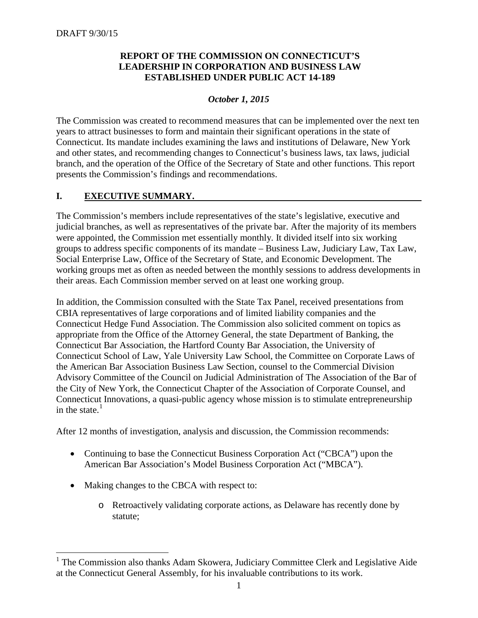## **REPORT OF THE COMMISSION ON CONNECTICUT'S LEADERSHIP IN CORPORATION AND BUSINESS LAW ESTABLISHED UNDER PUBLIC ACT 14-189**

# *October 1, 2015*

The Commission was created to recommend measures that can be implemented over the next ten years to attract businesses to form and maintain their significant operations in the state of Connecticut. Its mandate includes examining the laws and institutions of Delaware, New York and other states, and recommending changes to Connecticut's business laws, tax laws, judicial branch, and the operation of the Office of the Secretary of State and other functions. This report presents the Commission's findings and recommendations.

# **I. EXECUTIVE SUMMARY.**

The Commission's members include representatives of the state's legislative, executive and judicial branches, as well as representatives of the private bar. After the majority of its members were appointed, the Commission met essentially monthly. It divided itself into six working groups to address specific components of its mandate – Business Law, Judiciary Law, Tax Law, Social Enterprise Law, Office of the Secretary of State, and Economic Development. The working groups met as often as needed between the monthly sessions to address developments in their areas. Each Commission member served on at least one working group.

In addition, the Commission consulted with the State Tax Panel, received presentations from CBIA representatives of large corporations and of limited liability companies and the Connecticut Hedge Fund Association. The Commission also solicited comment on topics as appropriate from the Office of the Attorney General, the state Department of Banking, the Connecticut Bar Association, the Hartford County Bar Association, the University of Connecticut School of Law, Yale University Law School, the Committee on Corporate Laws of the American Bar Association Business Law Section, counsel to the Commercial Division Advisory Committee of the Council on Judicial Administration of The Association of the Bar of the City of New York, the Connecticut Chapter of the Association of Corporate Counsel, and Connecticut Innovations, a quasi-public agency whose mission is to stimulate entrepreneurship in the state. $<sup>1</sup>$  $<sup>1</sup>$  $<sup>1</sup>$ </sup>

After 12 months of investigation, analysis and discussion, the Commission recommends:

- Continuing to base the Connecticut Business Corporation Act ("CBCA") upon the American Bar Association's Model Business Corporation Act ("MBCA").
- Making changes to the CBCA with respect to:
	- o Retroactively validating corporate actions, as Delaware has recently done by statute;

<span id="page-0-0"></span> $1$  The Commission also thanks Adam Skowera, Judiciary Committee Clerk and Legislative Aide at the Connecticut General Assembly, for his invaluable contributions to its work.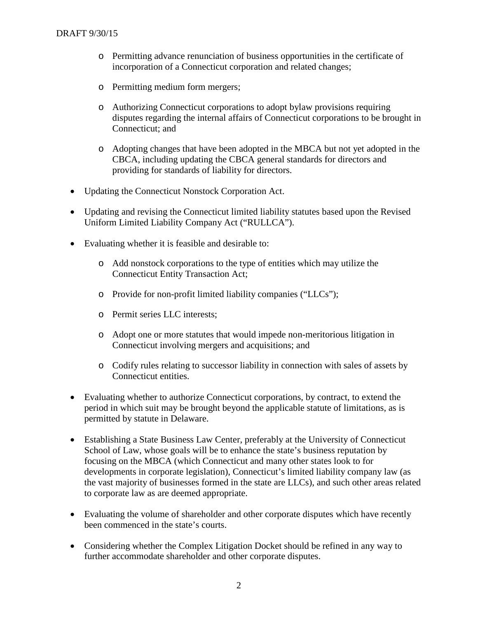- o Permitting advance renunciation of business opportunities in the certificate of incorporation of a Connecticut corporation and related changes;
- o Permitting medium form mergers;
- o Authorizing Connecticut corporations to adopt bylaw provisions requiring disputes regarding the internal affairs of Connecticut corporations to be brought in Connecticut; and
- o Adopting changes that have been adopted in the MBCA but not yet adopted in the CBCA, including updating the CBCA general standards for directors and providing for standards of liability for directors.
- Updating the Connecticut Nonstock Corporation Act.
- Updating and revising the Connecticut limited liability statutes based upon the Revised Uniform Limited Liability Company Act ("RULLCA").
- Evaluating whether it is feasible and desirable to:
	- o Add nonstock corporations to the type of entities which may utilize the Connecticut Entity Transaction Act;
	- o Provide for non-profit limited liability companies ("LLCs");
	- o Permit series LLC interests;
	- o Adopt one or more statutes that would impede non-meritorious litigation in Connecticut involving mergers and acquisitions; and
	- o Codify rules relating to successor liability in connection with sales of assets by Connecticut entities.
- Evaluating whether to authorize Connecticut corporations, by contract, to extend the period in which suit may be brought beyond the applicable statute of limitations, as is permitted by statute in Delaware.
- Establishing a State Business Law Center, preferably at the University of Connecticut School of Law, whose goals will be to enhance the state's business reputation by focusing on the MBCA (which Connecticut and many other states look to for developments in corporate legislation), Connecticut's limited liability company law (as the vast majority of businesses formed in the state are LLCs), and such other areas related to corporate law as are deemed appropriate.
- Evaluating the volume of shareholder and other corporate disputes which have recently been commenced in the state's courts.
- Considering whether the Complex Litigation Docket should be refined in any way to further accommodate shareholder and other corporate disputes.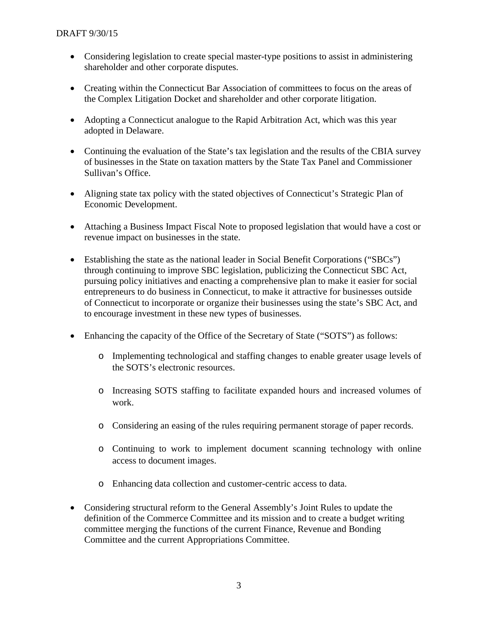- Considering legislation to create special master-type positions to assist in administering shareholder and other corporate disputes.
- Creating within the Connecticut Bar Association of committees to focus on the areas of the Complex Litigation Docket and shareholder and other corporate litigation.
- Adopting a Connecticut analogue to the Rapid Arbitration Act, which was this year adopted in Delaware.
- Continuing the evaluation of the State's tax legislation and the results of the CBIA survey of businesses in the State on taxation matters by the State Tax Panel and Commissioner Sullivan's Office.
- Aligning state tax policy with the stated objectives of Connecticut's Strategic Plan of Economic Development.
- Attaching a Business Impact Fiscal Note to proposed legislation that would have a cost or revenue impact on businesses in the state.
- Establishing the state as the national leader in Social Benefit Corporations ("SBCs") through continuing to improve SBC legislation, publicizing the Connecticut SBC Act, pursuing policy initiatives and enacting a comprehensive plan to make it easier for social entrepreneurs to do business in Connecticut, to make it attractive for businesses outside of Connecticut to incorporate or organize their businesses using the state's SBC Act, and to encourage investment in these new types of businesses.
- Enhancing the capacity of the Office of the Secretary of State ("SOTS") as follows:
	- o Implementing technological and staffing changes to enable greater usage levels of the SOTS's electronic resources.
	- o Increasing SOTS staffing to facilitate expanded hours and increased volumes of work.
	- o Considering an easing of the rules requiring permanent storage of paper records.
	- o Continuing to work to implement document scanning technology with online access to document images.
	- o Enhancing data collection and customer-centric access to data.
- Considering structural reform to the General Assembly's Joint Rules to update the definition of the Commerce Committee and its mission and to create a budget writing committee merging the functions of the current Finance, Revenue and Bonding Committee and the current Appropriations Committee.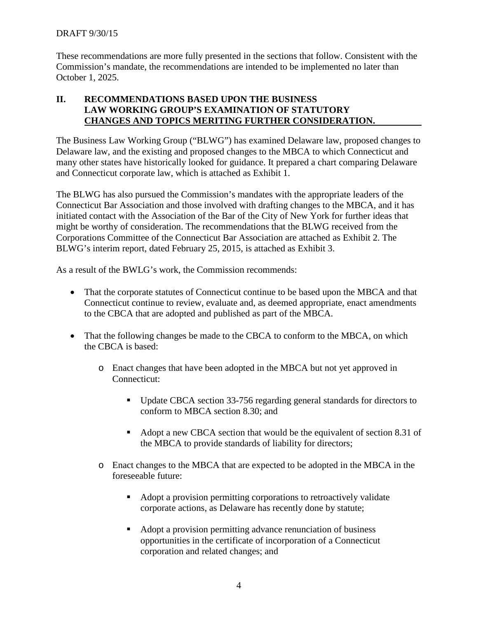These recommendations are more fully presented in the sections that follow. Consistent with the Commission's mandate, the recommendations are intended to be implemented no later than October 1, 2025.

## **II. RECOMMENDATIONS BASED UPON THE BUSINESS LAW WORKING GROUP'S EXAMINATION OF STATUTORY CHANGES AND TOPICS MERITING FURTHER CONSIDERATION.**

The Business Law Working Group ("BLWG") has examined Delaware law, proposed changes to Delaware law, and the existing and proposed changes to the MBCA to which Connecticut and many other states have historically looked for guidance. It prepared a chart comparing Delaware and Connecticut corporate law, which is attached as Exhibit 1.

The BLWG has also pursued the Commission's mandates with the appropriate leaders of the Connecticut Bar Association and those involved with drafting changes to the MBCA, and it has initiated contact with the Association of the Bar of the City of New York for further ideas that might be worthy of consideration. The recommendations that the BLWG received from the Corporations Committee of the Connecticut Bar Association are attached as Exhibit 2. The BLWG's interim report, dated February 25, 2015, is attached as Exhibit 3.

As a result of the BWLG's work, the Commission recommends:

- That the corporate statutes of Connecticut continue to be based upon the MBCA and that Connecticut continue to review, evaluate and, as deemed appropriate, enact amendments to the CBCA that are adopted and published as part of the MBCA.
- That the following changes be made to the CBCA to conform to the MBCA, on which the CBCA is based:
	- o Enact changes that have been adopted in the MBCA but not yet approved in Connecticut:
		- Update CBCA section 33-756 regarding general standards for directors to conform to MBCA section 8.30; and
		- Adopt a new CBCA section that would be the equivalent of section 8.31 of the MBCA to provide standards of liability for directors;
	- o Enact changes to the MBCA that are expected to be adopted in the MBCA in the foreseeable future:
		- Adopt a provision permitting corporations to retroactively validate corporate actions, as Delaware has recently done by statute;
		- Adopt a provision permitting advance renunciation of business opportunities in the certificate of incorporation of a Connecticut corporation and related changes; and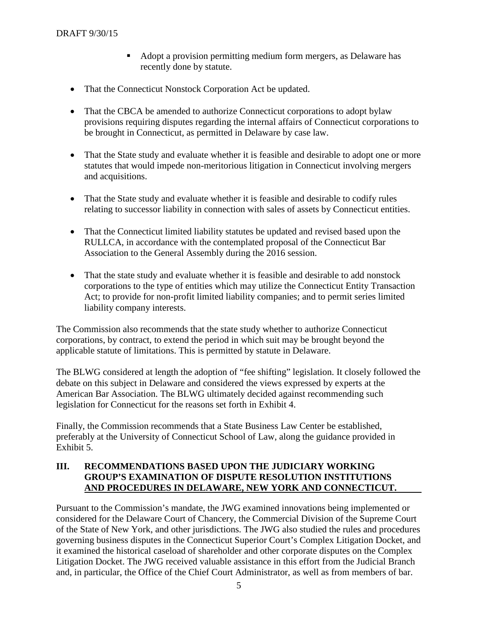- Adopt a provision permitting medium form mergers, as Delaware has recently done by statute.
- That the Connecticut Nonstock Corporation Act be updated.
- That the CBCA be amended to authorize Connecticut corporations to adopt bylaw provisions requiring disputes regarding the internal affairs of Connecticut corporations to be brought in Connecticut, as permitted in Delaware by case law.
- That the State study and evaluate whether it is feasible and desirable to adopt one or more statutes that would impede non-meritorious litigation in Connecticut involving mergers and acquisitions.
- That the State study and evaluate whether it is feasible and desirable to codify rules relating to successor liability in connection with sales of assets by Connecticut entities.
- That the Connecticut limited liability statutes be updated and revised based upon the RULLCA, in accordance with the contemplated proposal of the Connecticut Bar Association to the General Assembly during the 2016 session.
- That the state study and evaluate whether it is feasible and desirable to add nonstock corporations to the type of entities which may utilize the Connecticut Entity Transaction Act; to provide for non-profit limited liability companies; and to permit series limited liability company interests.

The Commission also recommends that the state study whether to authorize Connecticut corporations, by contract, to extend the period in which suit may be brought beyond the applicable statute of limitations. This is permitted by statute in Delaware.

The BLWG considered at length the adoption of "fee shifting" legislation. It closely followed the debate on this subject in Delaware and considered the views expressed by experts at the American Bar Association. The BLWG ultimately decided against recommending such legislation for Connecticut for the reasons set forth in Exhibit 4.

Finally, the Commission recommends that a State Business Law Center be established, preferably at the University of Connecticut School of Law, along the guidance provided in Exhibit 5.

#### **III. RECOMMENDATIONS BASED UPON THE JUDICIARY WORKING GROUP'S EXAMINATION OF DISPUTE RESOLUTION INSTITUTIONS AND PROCEDURES IN DELAWARE, NEW YORK AND CONNECTICUT.**

Pursuant to the Commission's mandate, the JWG examined innovations being implemented or considered for the Delaware Court of Chancery, the Commercial Division of the Supreme Court of the State of New York, and other jurisdictions. The JWG also studied the rules and procedures governing business disputes in the Connecticut Superior Court's Complex Litigation Docket, and it examined the historical caseload of shareholder and other corporate disputes on the Complex Litigation Docket. The JWG received valuable assistance in this effort from the Judicial Branch and, in particular, the Office of the Chief Court Administrator, as well as from members of bar.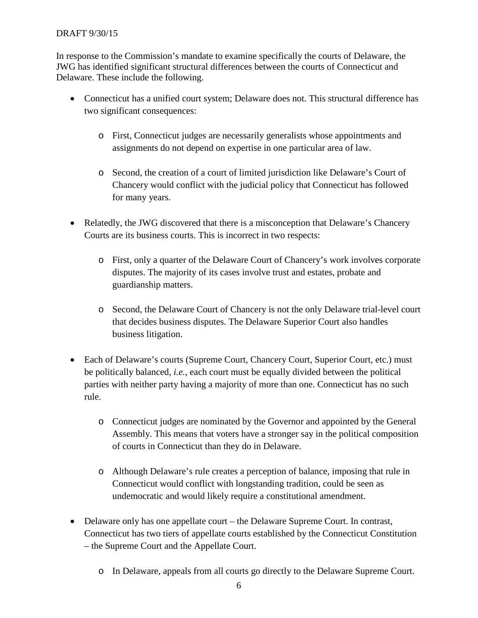#### DRAFT 9/30/15

In response to the Commission's mandate to examine specifically the courts of Delaware, the JWG has identified significant structural differences between the courts of Connecticut and Delaware. These include the following.

- Connecticut has a unified court system; Delaware does not. This structural difference has two significant consequences:
	- o First, Connecticut judges are necessarily generalists whose appointments and assignments do not depend on expertise in one particular area of law.
	- o Second, the creation of a court of limited jurisdiction like Delaware's Court of Chancery would conflict with the judicial policy that Connecticut has followed for many years.
- Relatedly, the JWG discovered that there is a misconception that Delaware's Chancery Courts are its business courts. This is incorrect in two respects:
	- o First, only a quarter of the Delaware Court of Chancery's work involves corporate disputes. The majority of its cases involve trust and estates, probate and guardianship matters.
	- o Second, the Delaware Court of Chancery is not the only Delaware trial-level court that decides business disputes. The Delaware Superior Court also handles business litigation.
- Each of Delaware's courts (Supreme Court, Chancery Court, Superior Court, etc.) must be politically balanced, *i.e.*, each court must be equally divided between the political parties with neither party having a majority of more than one. Connecticut has no such rule.
	- o Connecticut judges are nominated by the Governor and appointed by the General Assembly. This means that voters have a stronger say in the political composition of courts in Connecticut than they do in Delaware.
	- o Although Delaware's rule creates a perception of balance, imposing that rule in Connecticut would conflict with longstanding tradition, could be seen as undemocratic and would likely require a constitutional amendment.
- Delaware only has one appellate court the Delaware Supreme Court. In contrast, Connecticut has two tiers of appellate courts established by the Connecticut Constitution – the Supreme Court and the Appellate Court.
	- o In Delaware, appeals from all courts go directly to the Delaware Supreme Court.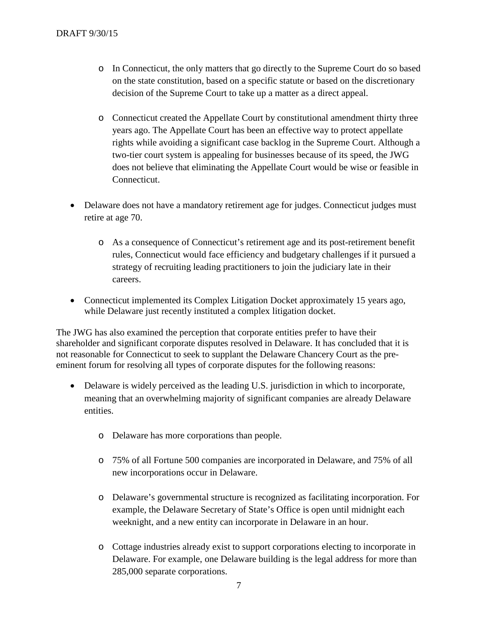- o In Connecticut, the only matters that go directly to the Supreme Court do so based on the state constitution, based on a specific statute or based on the discretionary decision of the Supreme Court to take up a matter as a direct appeal.
- o Connecticut created the Appellate Court by constitutional amendment thirty three years ago. The Appellate Court has been an effective way to protect appellate rights while avoiding a significant case backlog in the Supreme Court. Although a two-tier court system is appealing for businesses because of its speed, the JWG does not believe that eliminating the Appellate Court would be wise or feasible in Connecticut.
- Delaware does not have a mandatory retirement age for judges. Connecticut judges must retire at age 70.
	- o As a consequence of Connecticut's retirement age and its post-retirement benefit rules, Connecticut would face efficiency and budgetary challenges if it pursued a strategy of recruiting leading practitioners to join the judiciary late in their careers.
- Connecticut implemented its Complex Litigation Docket approximately 15 years ago, while Delaware just recently instituted a complex litigation docket.

The JWG has also examined the perception that corporate entities prefer to have their shareholder and significant corporate disputes resolved in Delaware. It has concluded that it is not reasonable for Connecticut to seek to supplant the Delaware Chancery Court as the preeminent forum for resolving all types of corporate disputes for the following reasons:

- Delaware is widely perceived as the leading U.S. jurisdiction in which to incorporate, meaning that an overwhelming majority of significant companies are already Delaware entities.
	- o Delaware has more corporations than people.
	- o 75% of all Fortune 500 companies are incorporated in Delaware, and 75% of all new incorporations occur in Delaware.
	- o Delaware's governmental structure is recognized as facilitating incorporation. For example, the Delaware Secretary of State's Office is open until midnight each weeknight, and a new entity can incorporate in Delaware in an hour.
	- o Cottage industries already exist to support corporations electing to incorporate in Delaware. For example, one Delaware building is the legal address for more than 285,000 separate corporations.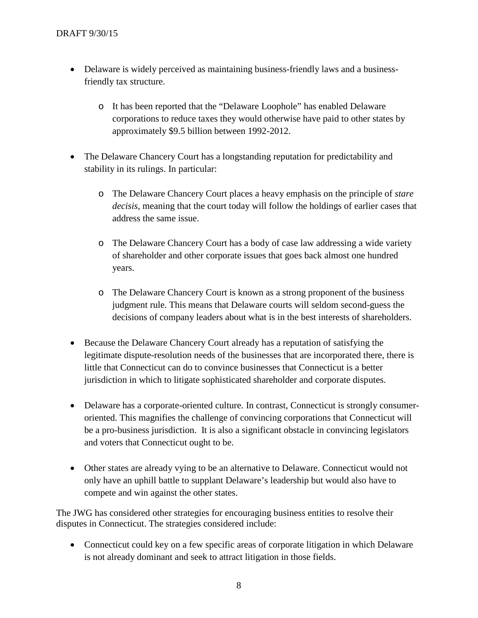- Delaware is widely perceived as maintaining business-friendly laws and a businessfriendly tax structure.
	- o It has been reported that the "Delaware Loophole" has enabled Delaware corporations to reduce taxes they would otherwise have paid to other states by approximately \$9.5 billion between 1992-2012.
- The Delaware Chancery Court has a longituding reputation for predictability and stability in its rulings. In particular:
	- o The Delaware Chancery Court places a heavy emphasis on the principle of *stare decisis*, meaning that the court today will follow the holdings of earlier cases that address the same issue.
	- o The Delaware Chancery Court has a body of case law addressing a wide variety of shareholder and other corporate issues that goes back almost one hundred years.
	- o The Delaware Chancery Court is known as a strong proponent of the business judgment rule. This means that Delaware courts will seldom second-guess the decisions of company leaders about what is in the best interests of shareholders.
- Because the Delaware Chancery Court already has a reputation of satisfying the legitimate dispute-resolution needs of the businesses that are incorporated there, there is little that Connecticut can do to convince businesses that Connecticut is a better jurisdiction in which to litigate sophisticated shareholder and corporate disputes.
- Delaware has a corporate-oriented culture. In contrast, Connecticut is strongly consumeroriented. This magnifies the challenge of convincing corporations that Connecticut will be a pro-business jurisdiction. It is also a significant obstacle in convincing legislators and voters that Connecticut ought to be.
- Other states are already vying to be an alternative to Delaware. Connecticut would not only have an uphill battle to supplant Delaware's leadership but would also have to compete and win against the other states.

The JWG has considered other strategies for encouraging business entities to resolve their disputes in Connecticut. The strategies considered include:

• Connecticut could key on a few specific areas of corporate litigation in which Delaware is not already dominant and seek to attract litigation in those fields.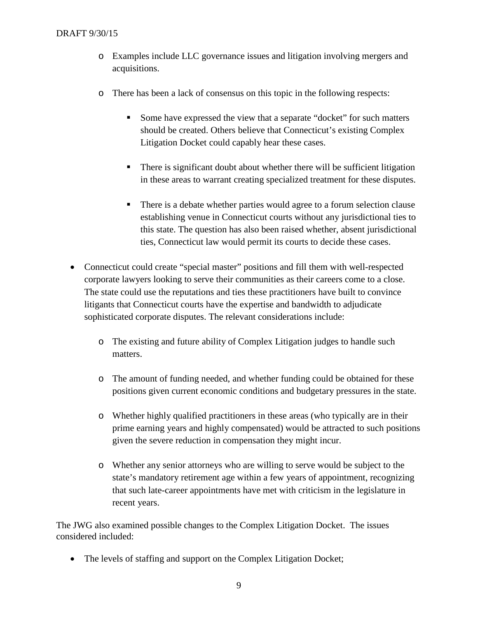- o Examples include LLC governance issues and litigation involving mergers and acquisitions.
- o There has been a lack of consensus on this topic in the following respects:
	- Some have expressed the view that a separate "docket" for such matters should be created. Others believe that Connecticut's existing Complex Litigation Docket could capably hear these cases.
	- There is significant doubt about whether there will be sufficient litigation in these areas to warrant creating specialized treatment for these disputes.
	- There is a debate whether parties would agree to a forum selection clause establishing venue in Connecticut courts without any jurisdictional ties to this state. The question has also been raised whether, absent jurisdictional ties, Connecticut law would permit its courts to decide these cases.
- Connecticut could create "special master" positions and fill them with well-respected corporate lawyers looking to serve their communities as their careers come to a close. The state could use the reputations and ties these practitioners have built to convince litigants that Connecticut courts have the expertise and bandwidth to adjudicate sophisticated corporate disputes. The relevant considerations include:
	- o The existing and future ability of Complex Litigation judges to handle such matters.
	- o The amount of funding needed, and whether funding could be obtained for these positions given current economic conditions and budgetary pressures in the state.
	- o Whether highly qualified practitioners in these areas (who typically are in their prime earning years and highly compensated) would be attracted to such positions given the severe reduction in compensation they might incur.
	- o Whether any senior attorneys who are willing to serve would be subject to the state's mandatory retirement age within a few years of appointment, recognizing that such late-career appointments have met with criticism in the legislature in recent years.

The JWG also examined possible changes to the Complex Litigation Docket. The issues considered included:

• The levels of staffing and support on the Complex Litigation Docket;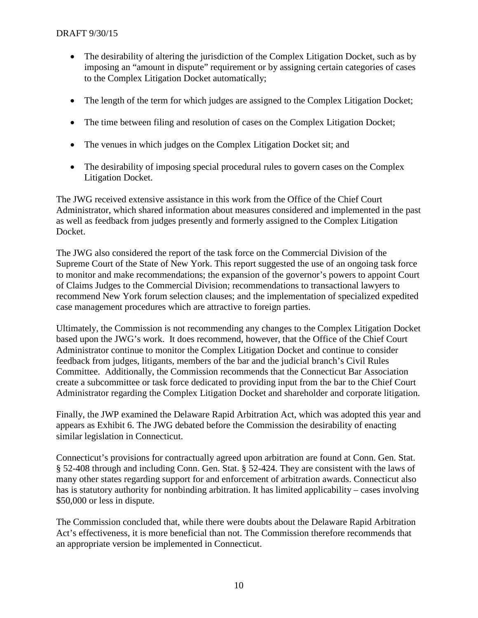- The desirability of altering the jurisdiction of the Complex Litigation Docket, such as by imposing an "amount in dispute" requirement or by assigning certain categories of cases to the Complex Litigation Docket automatically;
- The length of the term for which judges are assigned to the Complex Litigation Docket;
- The time between filing and resolution of cases on the Complex Litigation Docket;
- The venues in which judges on the Complex Litigation Docket sit; and
- The desirability of imposing special procedural rules to govern cases on the Complex Litigation Docket.

The JWG received extensive assistance in this work from the Office of the Chief Court Administrator, which shared information about measures considered and implemented in the past as well as feedback from judges presently and formerly assigned to the Complex Litigation Docket.

The JWG also considered the report of the task force on the Commercial Division of the Supreme Court of the State of New York. This report suggested the use of an ongoing task force to monitor and make recommendations; the expansion of the governor's powers to appoint Court of Claims Judges to the Commercial Division; recommendations to transactional lawyers to recommend New York forum selection clauses; and the implementation of specialized expedited case management procedures which are attractive to foreign parties.

Ultimately, the Commission is not recommending any changes to the Complex Litigation Docket based upon the JWG's work. It does recommend, however, that the Office of the Chief Court Administrator continue to monitor the Complex Litigation Docket and continue to consider feedback from judges, litigants, members of the bar and the judicial branch's Civil Rules Committee. Additionally, the Commission recommends that the Connecticut Bar Association create a subcommittee or task force dedicated to providing input from the bar to the Chief Court Administrator regarding the Complex Litigation Docket and shareholder and corporate litigation.

Finally, the JWP examined the Delaware Rapid Arbitration Act, which was adopted this year and appears as Exhibit 6. The JWG debated before the Commission the desirability of enacting similar legislation in Connecticut.

Connecticut's provisions for contractually agreed upon arbitration are found at Conn. Gen. Stat. § 52-408 through and including Conn. Gen. Stat. § 52-424. They are consistent with the laws of many other states regarding support for and enforcement of arbitration awards. Connecticut also has is statutory authority for nonbinding arbitration. It has limited applicability – cases involving \$50,000 or less in dispute.

The Commission concluded that, while there were doubts about the Delaware Rapid Arbitration Act's effectiveness, it is more beneficial than not. The Commission therefore recommends that an appropriate version be implemented in Connecticut.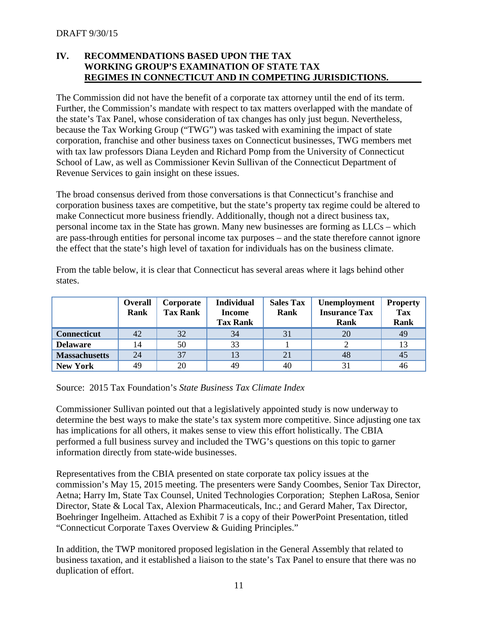#### **IV. RECOMMENDATIONS BASED UPON THE TAX WORKING GROUP'S EXAMINATION OF STATE TAX REGIMES IN CONNECTICUT AND IN COMPETING JURISDICTIONS.**

The Commission did not have the benefit of a corporate tax attorney until the end of its term. Further, the Commission's mandate with respect to tax matters overlapped with the mandate of the state's Tax Panel, whose consideration of tax changes has only just begun. Nevertheless, because the Tax Working Group ("TWG") was tasked with examining the impact of state corporation, franchise and other business taxes on Connecticut businesses, TWG members met with tax law professors Diana Leyden and Richard Pomp from the University of Connecticut School of Law, as well as Commissioner Kevin Sullivan of the Connecticut Department of Revenue Services to gain insight on these issues.

The broad consensus derived from those conversations is that Connecticut's franchise and corporation business taxes are competitive, but the state's property tax regime could be altered to make Connecticut more business friendly. Additionally, though not a direct business tax, personal income tax in the State has grown. Many new businesses are forming as LLCs – which are pass-through entities for personal income tax purposes – and the state therefore cannot ignore the effect that the state's high level of taxation for individuals has on the business climate.

From the table below, it is clear that Connecticut has several areas where it lags behind other states.

|                      | Overall<br>Rank | Corporate<br><b>Tax Rank</b> | <b>Individual</b><br><b>Income</b><br><b>Tax Rank</b> | <b>Sales Tax</b><br>Rank | Unemployment<br><b>Insurance Tax</b><br>Rank | <b>Property</b><br><b>Tax</b><br><b>Rank</b> |
|----------------------|-----------------|------------------------------|-------------------------------------------------------|--------------------------|----------------------------------------------|----------------------------------------------|
| <b>Connecticut</b>   | 42              | 32                           | 34                                                    | 31                       | 20                                           | 49                                           |
| <b>Delaware</b>      | 14              | 50                           | 33                                                    |                          |                                              | 13                                           |
| <b>Massachusetts</b> | 24              | 37                           | 13                                                    | 21                       | 48                                           | 45                                           |
| <b>New York</b>      | 49              | 20                           | 49                                                    | 40                       | 3 <sup>1</sup>                               | 46                                           |

Source: 2015 Tax Foundation's *State Business Tax Climate Index*

Commissioner Sullivan pointed out that a legislatively appointed study is now underway to determine the best ways to make the state's tax system more competitive. Since adjusting one tax has implications for all others, it makes sense to view this effort holistically. The CBIA performed a full business survey and included the TWG's questions on this topic to garner information directly from state-wide businesses.

Representatives from the CBIA presented on state corporate tax policy issues at the commission's May 15, 2015 meeting. The presenters were Sandy Coombes, Senior Tax Director, Aetna; Harry Im, State Tax Counsel, United Technologies Corporation; Stephen LaRosa, Senior Director, State & Local Tax, Alexion Pharmaceuticals, Inc.; and Gerard Maher, Tax Director, Boehringer Ingelheim. Attached as Exhibit 7 is a copy of their PowerPoint Presentation, titled "Connecticut Corporate Taxes Overview & Guiding Principles."

In addition, the TWP monitored proposed legislation in the General Assembly that related to business taxation, and it established a liaison to the state's Tax Panel to ensure that there was no duplication of effort.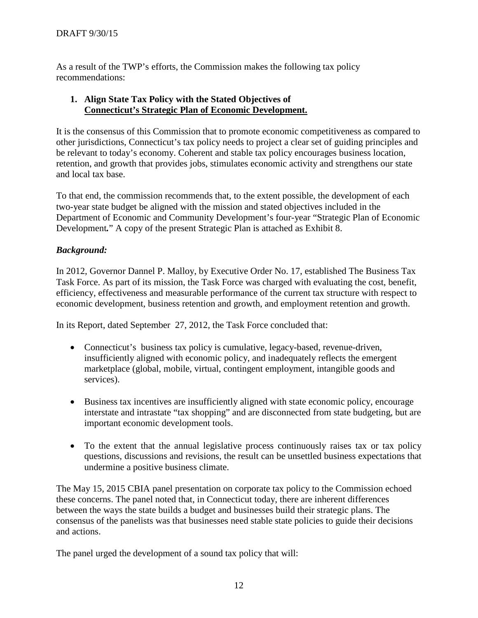As a result of the TWP's efforts, the Commission makes the following tax policy recommendations:

#### **1. Align State Tax Policy with the Stated Objectives of Connecticut's Strategic Plan of Economic Development.**

It is the consensus of this Commission that to promote economic competitiveness as compared to other jurisdictions, Connecticut's tax policy needs to project a clear set of guiding principles and be relevant to today's economy. Coherent and stable tax policy encourages business location, retention, and growth that provides jobs, stimulates economic activity and strengthens our state and local tax base.

To that end, the commission recommends that, to the extent possible, the development of each two-year state budget be aligned with the mission and stated objectives included in the Department of Economic and Community Development's four-year "Strategic Plan of Economic Development*.*" A copy of the present Strategic Plan is attached as Exhibit 8.

## *Background:*

In 2012, Governor Dannel P. Malloy, by Executive Order No. 17, established The Business Tax Task Force. As part of its mission, the Task Force was charged with evaluating the cost, benefit, efficiency, effectiveness and measurable performance of the current tax structure with respect to economic development, business retention and growth, and employment retention and growth.

In its Report, dated September 27, 2012, the Task Force concluded that:

- Connecticut's business tax policy is cumulative, legacy-based, revenue-driven, insufficiently aligned with economic policy, and inadequately reflects the emergent marketplace (global, mobile, virtual, contingent employment, intangible goods and services).
- Business tax incentives are insufficiently aligned with state economic policy, encourage interstate and intrastate "tax shopping" and are disconnected from state budgeting, but are important economic development tools.
- To the extent that the annual legislative process continuously raises tax or tax policy questions, discussions and revisions, the result can be unsettled business expectations that undermine a positive business climate.

The May 15, 2015 CBIA panel presentation on corporate tax policy to the Commission echoed these concerns. The panel noted that, in Connecticut today, there are inherent differences between the ways the state builds a budget and businesses build their strategic plans. The consensus of the panelists was that businesses need stable state policies to guide their decisions and actions.

The panel urged the development of a sound tax policy that will: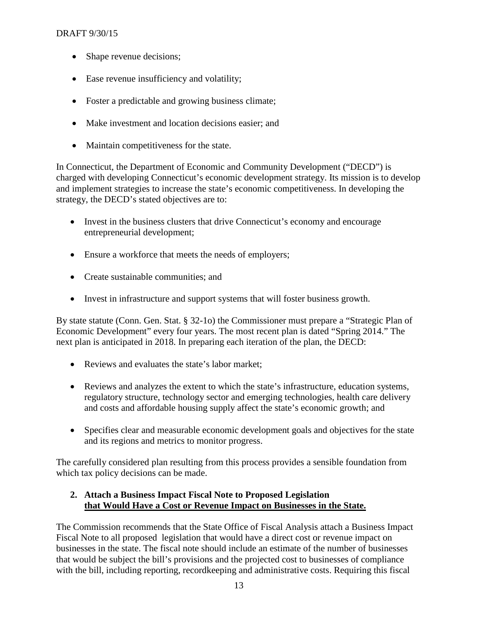- Shape revenue decisions;
- Ease revenue insufficiency and volatility;
- Foster a predictable and growing business climate;
- Make investment and location decisions easier; and
- Maintain competitiveness for the state.

In Connecticut, the Department of Economic and Community Development ("DECD") is charged with developing Connecticut's economic development strategy. Its mission is to develop and implement strategies to increase the state's economic competitiveness. In developing the strategy, the DECD's stated objectives are to:

- Invest in the business clusters that drive Connecticut's economy and encourage entrepreneurial development;
- Ensure a workforce that meets the needs of employers;
- Create sustainable communities; and
- Invest in infrastructure and support systems that will foster business growth.

By state statute (Conn. Gen. Stat. § 32-1o) the Commissioner must prepare a "Strategic Plan of Economic Development" every four years. The most recent plan is dated "Spring 2014." The next plan is anticipated in 2018. In preparing each iteration of the plan, the DECD:

- Reviews and evaluates the state's labor market;
- Reviews and analyzes the extent to which the state's infrastructure, education systems, regulatory structure, technology sector and emerging technologies, health care delivery and costs and affordable housing supply affect the state's economic growth; and
- Specifies clear and measurable economic development goals and objectives for the state and its regions and metrics to monitor progress.

The carefully considered plan resulting from this process provides a sensible foundation from which tax policy decisions can be made.

## **2. Attach a Business Impact Fiscal Note to Proposed Legislation that Would Have a Cost or Revenue Impact on Businesses in the State.**

The Commission recommends that the State Office of Fiscal Analysis attach a Business Impact Fiscal Note to all proposed legislation that would have a direct cost or revenue impact on businesses in the state. The fiscal note should include an estimate of the number of businesses that would be subject the bill's provisions and the projected cost to businesses of compliance with the bill, including reporting, recordkeeping and administrative costs. Requiring this fiscal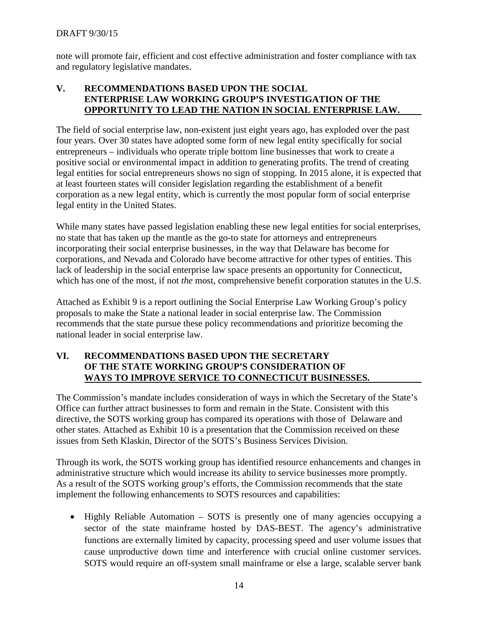note will promote fair, efficient and cost effective administration and foster compliance with tax and regulatory legislative mandates.

## **V. RECOMMENDATIONS BASED UPON THE SOCIAL ENTERPRISE LAW WORKING GROUP'S INVESTIGATION OF THE OPPORTUNITY TO LEAD THE NATION IN SOCIAL ENTERPRISE LAW.**

The field of social enterprise law, non-existent just eight years ago, has exploded over the past four years. Over 30 states have adopted some form of new legal entity specifically for social entrepreneurs – individuals who operate triple bottom line businesses that work to create a positive social or environmental impact in addition to generating profits. The trend of creating legal entities for social entrepreneurs shows no sign of stopping. In 2015 alone, it is expected that at least fourteen states will consider legislation regarding the establishment of a benefit corporation as a new legal entity, which is currently the most popular form of social enterprise legal entity in the United States.

While many states have passed legislation enabling these new legal entities for social enterprises, no state that has taken up the mantle as the go-to state for attorneys and entrepreneurs incorporating their social enterprise businesses, in the way that Delaware has become for corporations, and Nevada and Colorado have become attractive for other types of entities. This lack of leadership in the social enterprise law space presents an opportunity for Connecticut, which has one of the most, if not *the* most, comprehensive benefit corporation statutes in the U.S.

Attached as Exhibit 9 is a report outlining the Social Enterprise Law Working Group's policy proposals to make the State a national leader in social enterprise law. The Commission recommends that the state pursue these policy recommendations and prioritize becoming the national leader in social enterprise law.

#### **VI. RECOMMENDATIONS BASED UPON THE SECRETARY OF THE STATE WORKING GROUP'S CONSIDERATION OF WAYS TO IMPROVE SERVICE TO CONNECTICUT BUSINESSES.**

The Commission's mandate includes consideration of ways in which the Secretary of the State's Office can further attract businesses to form and remain in the State. Consistent with this directive, the SOTS working group has compared its operations with those of Delaware and other states. Attached as Exhibit 10 is a presentation that the Commission received on these issues from Seth Klaskin, Director of the SOTS's Business Services Division.

Through its work, the SOTS working group has identified resource enhancements and changes in administrative structure which would increase its ability to service businesses more promptly. As a result of the SOTS working group's efforts, the Commission recommends that the state implement the following enhancements to SOTS resources and capabilities:

• Highly Reliable Automation – SOTS is presently one of many agencies occupying a sector of the state mainframe hosted by DAS-BEST. The agency's administrative functions are externally limited by capacity, processing speed and user volume issues that cause unproductive down time and interference with crucial online customer services. SOTS would require an off-system small mainframe or else a large, scalable server bank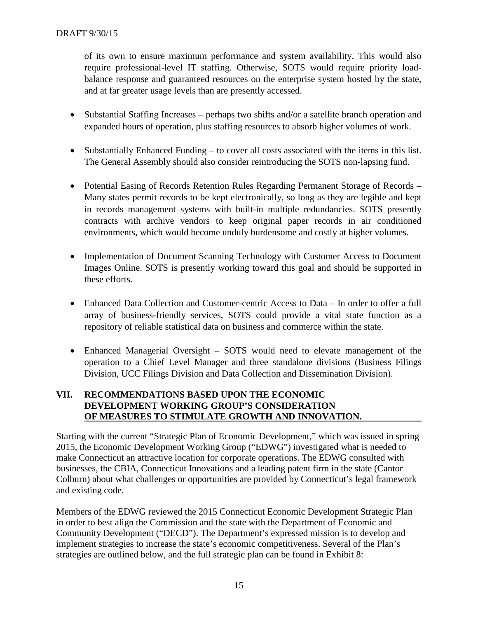of its own to ensure maximum performance and system availability. This would also require professional-level IT staffing. Otherwise, SOTS would require priority loadbalance response and guaranteed resources on the enterprise system hosted by the state, and at far greater usage levels than are presently accessed.

- Substantial Staffing Increases perhaps two shifts and/or a satellite branch operation and expanded hours of operation, plus staffing resources to absorb higher volumes of work.
- Substantially Enhanced Funding to cover all costs associated with the items in this list. The General Assembly should also consider reintroducing the SOTS non-lapsing fund.
- Potential Easing of Records Retention Rules Regarding Permanent Storage of Records Many states permit records to be kept electronically, so long as they are legible and kept in records management systems with built-in multiple redundancies. SOTS presently contracts with archive vendors to keep original paper records in air conditioned environments, which would become unduly burdensome and costly at higher volumes.
- Implementation of Document Scanning Technology with Customer Access to Document Images Online. SOTS is presently working toward this goal and should be supported in these efforts.
- Enhanced Data Collection and Customer-centric Access to Data In order to offer a full array of business-friendly services, SOTS could provide a vital state function as a repository of reliable statistical data on business and commerce within the state.
- Enhanced Managerial Oversight SOTS would need to elevate management of the operation to a Chief Level Manager and three standalone divisions (Business Filings Division, UCC Filings Division and Data Collection and Dissemination Division).

## **VII. RECOMMENDATIONS BASED UPON THE ECONOMIC DEVELOPMENT WORKING GROUP'S CONSIDERATION OF MEASURES TO STIMULATE GROWTH AND INNOVATION.**

Starting with the current "Strategic Plan of Economic Development," which was issued in spring 2015, the Economic Development Working Group ("EDWG") investigated what is needed to make Connecticut an attractive location for corporate operations. The EDWG consulted with businesses, the CBIA, Connecticut Innovations and a leading patent firm in the state (Cantor Colburn) about what challenges or opportunities are provided by Connecticut's legal framework and existing code.

Members of the EDWG reviewed the 2015 Connecticut Economic Development Strategic Plan in order to best align the Commission and the state with the Department of Economic and Community Development ("DECD"). The Department's expressed mission is to develop and implement strategies to increase the state's economic competitiveness. Several of the Plan's strategies are outlined below, and the full strategic plan can be found in Exhibit 8: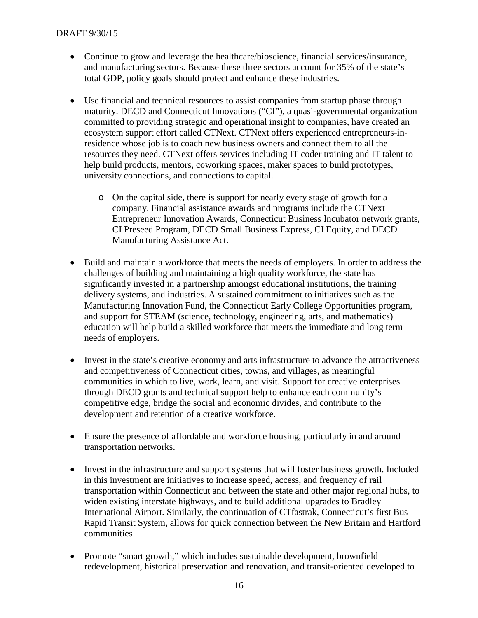- Continue to grow and leverage the healthcare/bioscience, financial services/insurance, and manufacturing sectors. Because these three sectors account for 35% of the state's total GDP, policy goals should protect and enhance these industries.
- Use financial and technical resources to assist companies from startup phase through maturity. DECD and Connecticut Innovations ("CI"), a quasi-governmental organization committed to providing strategic and operational insight to companies, have created an ecosystem support effort called CTNext. CTNext offers experienced entrepreneurs-inresidence whose job is to coach new business owners and connect them to all the resources they need. CTNext offers services including IT coder training and IT talent to help build products, mentors, coworking spaces, maker spaces to build prototypes, university connections, and connections to capital.
	- o On the capital side, there is support for nearly every stage of growth for a company. Financial assistance awards and programs include the CTNext Entrepreneur Innovation Awards, Connecticut Business Incubator network grants, CI Preseed Program, DECD Small Business Express, CI Equity, and DECD Manufacturing Assistance Act.
- Build and maintain a workforce that meets the needs of employers. In order to address the challenges of building and maintaining a high quality workforce, the state has significantly invested in a partnership amongst educational institutions, the training delivery systems, and industries. A sustained commitment to initiatives such as the Manufacturing Innovation Fund, the Connecticut Early College Opportunities program, and support for STEAM (science, technology, engineering, arts, and mathematics) education will help build a skilled workforce that meets the immediate and long term needs of employers.
- Invest in the state's creative economy and arts infrastructure to advance the attractiveness and competitiveness of Connecticut cities, towns, and villages, as meaningful communities in which to live, work, learn, and visit. Support for creative enterprises through DECD grants and technical support help to enhance each community's competitive edge, bridge the social and economic divides, and contribute to the development and retention of a creative workforce.
- Ensure the presence of affordable and workforce housing, particularly in and around transportation networks.
- Invest in the infrastructure and support systems that will foster business growth. Included in this investment are initiatives to increase speed, access, and frequency of rail transportation within Connecticut and between the state and other major regional hubs, to widen existing interstate highways, and to build additional upgrades to Bradley International Airport. Similarly, the continuation of CTfastrak, Connecticut's first Bus Rapid Transit System, allows for quick connection between the New Britain and Hartford communities.
- Promote "smart growth," which includes sustainable development, brownfield redevelopment, historical preservation and renovation, and transit-oriented developed to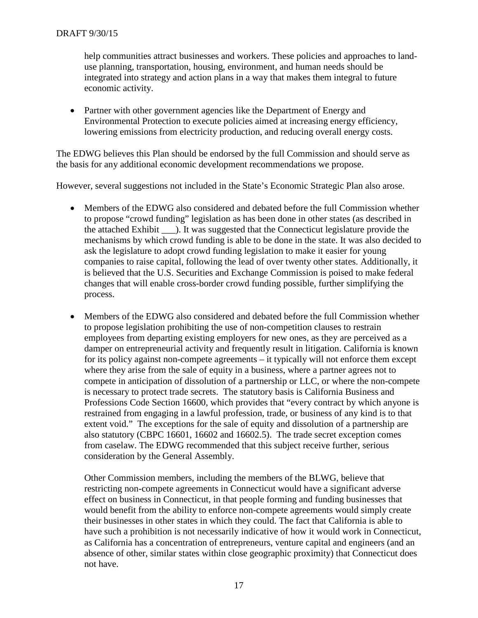help communities attract businesses and workers. These policies and approaches to landuse planning, transportation, housing, environment, and human needs should be integrated into strategy and action plans in a way that makes them integral to future economic activity.

• Partner with other government agencies like the Department of Energy and Environmental Protection to execute policies aimed at increasing energy efficiency, lowering emissions from electricity production, and reducing overall energy costs.

The EDWG believes this Plan should be endorsed by the full Commission and should serve as the basis for any additional economic development recommendations we propose.

However, several suggestions not included in the State's Economic Strategic Plan also arose.

- Members of the EDWG also considered and debated before the full Commission whether to propose "crowd funding" legislation as has been done in other states (as described in the attached Exhibit \_\_\_). It was suggested that the Connecticut legislature provide the mechanisms by which crowd funding is able to be done in the state. It was also decided to ask the legislature to adopt crowd funding legislation to make it easier for young companies to raise capital, following the lead of over twenty other states. Additionally, it is believed that the U.S. Securities and Exchange Commission is poised to make federal changes that will enable cross-border crowd funding possible, further simplifying the process.
- Members of the EDWG also considered and debated before the full Commission whether to propose legislation prohibiting the use of non-competition clauses to restrain employees from departing existing employers for new ones, as they are perceived as a damper on entrepreneurial activity and frequently result in litigation. California is known for its policy against non-compete agreements – it typically will not enforce them except where they arise from the sale of equity in a business, where a partner agrees not to compete in anticipation of dissolution of a partnership or LLC, or where the non-compete is necessary to protect trade secrets. The statutory basis is California Business and Professions Code Section 16600, which provides that "every contract by which anyone is restrained from engaging in a lawful profession, trade, or business of any kind is to that extent void." The exceptions for the sale of equity and dissolution of a partnership are also statutory (CBPC 16601, 16602 and 16602.5). The trade secret exception comes from caselaw. The EDWG recommended that this subject receive further, serious consideration by the General Assembly.

Other Commission members, including the members of the BLWG, believe that restricting non-compete agreements in Connecticut would have a significant adverse effect on business in Connecticut, in that people forming and funding businesses that would benefit from the ability to enforce non-compete agreements would simply create their businesses in other states in which they could. The fact that California is able to have such a prohibition is not necessarily indicative of how it would work in Connecticut, as California has a concentration of entrepreneurs, venture capital and engineers (and an absence of other, similar states within close geographic proximity) that Connecticut does not have.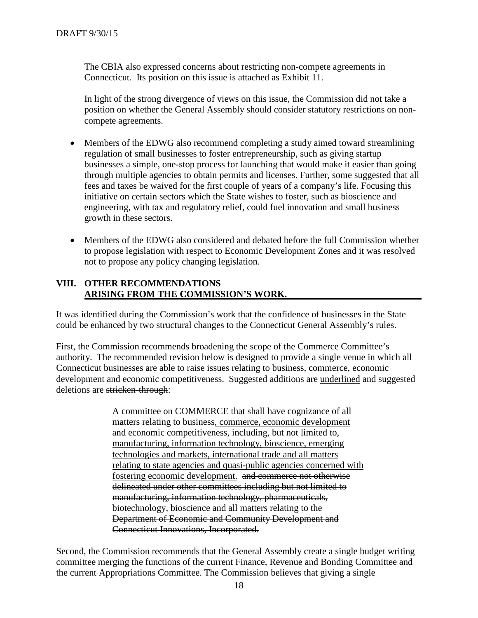The CBIA also expressed concerns about restricting non-compete agreements in Connecticut. Its position on this issue is attached as Exhibit 11.

In light of the strong divergence of views on this issue, the Commission did not take a position on whether the General Assembly should consider statutory restrictions on noncompete agreements.

- Members of the EDWG also recommend completing a study aimed toward streamlining regulation of small businesses to foster entrepreneurship, such as giving startup businesses a simple, one-stop process for launching that would make it easier than going through multiple agencies to obtain permits and licenses. Further, some suggested that all fees and taxes be waived for the first couple of years of a company's life. Focusing this initiative on certain sectors which the State wishes to foster, such as bioscience and engineering, with tax and regulatory relief, could fuel innovation and small business growth in these sectors.
- Members of the EDWG also considered and debated before the full Commission whether to propose legislation with respect to Economic Development Zones and it was resolved not to propose any policy changing legislation.

#### **VIII. OTHER RECOMMENDATIONS ARISING FROM THE COMMISSION'S WORK.**

It was identified during the Commission's work that the confidence of businesses in the State could be enhanced by two structural changes to the Connecticut General Assembly's rules.

First, the Commission recommends broadening the scope of the Commerce Committee's authority. The recommended revision below is designed to provide a single venue in which all Connecticut businesses are able to raise issues relating to business, commerce, economic development and economic competitiveness. Suggested additions are underlined and suggested deletions are stricken-through:

> A committee on COMMERCE that shall have cognizance of all matters relating to business, commerce, economic development and economic competitiveness, including, but not limited to, manufacturing, information technology, bioscience, emerging technologies and markets, international trade and all matters relating to state agencies and quasi-public agencies concerned with fostering economic development. and commerce not otherwise delineated under other committees including but not limited to manufacturing, information technology, pharmaceuticals, biotechnology, bioscience and all matters relating to the Department of Economic and Community Development and Connecticut Innovations, Incorporated.

Second, the Commission recommends that the General Assembly create a single budget writing committee merging the functions of the current Finance, Revenue and Bonding Committee and the current Appropriations Committee. The Commission believes that giving a single